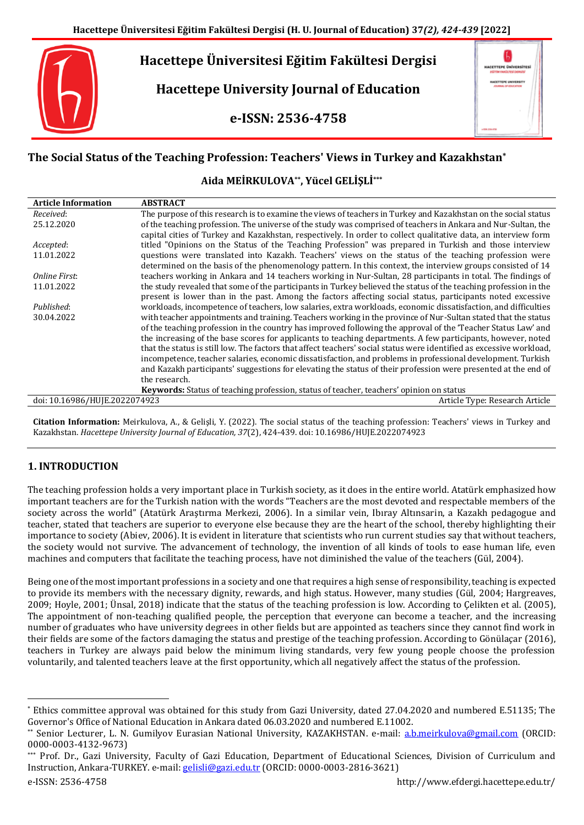

# **The Social Status of the Teaching Profession: Teachers' Views in Turkey and Kazakhstan\***

**Aida MEİRKULOVA\*\*, Yücel GELİŞLİ\*\*\***

| <b>Article Information</b>    | <b>ABSTRACT</b>                                                                                                      |
|-------------------------------|----------------------------------------------------------------------------------------------------------------------|
| Received:                     | The purpose of this research is to examine the views of teachers in Turkey and Kazakhstan on the social status       |
| 25.12.2020                    | of the teaching profession. The universe of the study was comprised of teachers in Ankara and Nur-Sultan, the        |
|                               | capital cities of Turkey and Kazakhstan, respectively. In order to collect qualitative data, an interview form       |
| Accepted:                     | titled "Opinions on the Status of the Teaching Profession" was prepared in Turkish and those interview               |
| 11.01.2022                    | questions were translated into Kazakh. Teachers' views on the status of the teaching profession were                 |
|                               | determined on the basis of the phenomenology pattern. In this context, the interview groups consisted of 14          |
| Online First:                 | teachers working in Ankara and 14 teachers working in Nur-Sultan, 28 participants in total. The findings of          |
| 11.01.2022                    | the study revealed that some of the participants in Turkey believed the status of the teaching profession in the     |
|                               | present is lower than in the past. Among the factors affecting social status, participants noted excessive           |
| Published:                    | workloads, incompetence of teachers, low salaries, extra workloads, economic dissatisfaction, and difficulties       |
| 30.04.2022                    | with teacher appointments and training. Teachers working in the province of Nur-Sultan stated that the status        |
|                               | of the teaching profession in the country has improved following the approval of the 'Teacher Status Law' and        |
|                               | the increasing of the base scores for applicants to teaching departments. A few participants, however, noted         |
|                               | that the status is still low. The factors that affect teachers' social status were identified as excessive workload, |
|                               | incompetence, teacher salaries, economic dissatisfaction, and problems in professional development. Turkish          |
|                               | and Kazakh participants' suggestions for elevating the status of their profession were presented at the end of       |
|                               | the research.                                                                                                        |
|                               | Keywords: Status of teaching profession, status of teacher, teachers' opinion on status                              |
| doi: 10.16986/HUJE.2022074923 | Article Type: Research Article                                                                                       |

**Citation Information:** Meirkulova, A., & Gelişli, Y. (2022). The social status of the teaching profession: Teachers' views in Turkey and Kazakhstan. *Hacettepe University Journal of Education, 37*(2), 424-439. doi: 10.16986/HUJE.2022074923

# **1. INTRODUCTION**

The teaching profession holds a very important place in Turkish society, as it does in the entire world. Atatürk emphasized how important teachers are for the Turkish nation with the words "Teachers are the most devoted and respectable members of the society across the world" (Atatürk Araştırma Merkezi, 2006). In a similar vein, Ibıray Altınsarin, a Kazakh pedagogue and teacher, stated that teachers are superior to everyone else because they are the heart of the school, thereby highlighting their importance to society (Abiev, 2006). It is evident in literature that scientists who run current studies say that without teachers, the society would not survive. The advancement of technology, the invention of all kinds of tools to ease human life, even machines and computers that facilitate the teaching process, have not diminished the value of the teachers (Gül, 2004).

Being one of the most important professions in a society and one that requires a high sense of responsibility, teaching is expected to provide its members with the necessary dignity, rewards, and high status. However, many studies (Gül, 2004; Hargreaves, 2009; Hoyle, 2001; Ünsal, 2018) indicate that the status of the teaching profession is low. According to Çelikten et al. (2005), The appointment of non-teaching qualified people, the perception that everyone can become a teacher, and the increasing number of graduates who have university degrees in other fields but are appointed as teachers since they cannot find work in their fields are some of the factors damaging the status and prestige of the teaching profession. According to Gönülaçar (2016), teachers in Turkey are always paid below the minimum living standards, very few young people choose the profession voluntarily, and talented teachers leave at the first opportunity, which all negatively affect the status of the profession.

 $\ddot{\phantom{a}}$ 

<sup>\*</sup> Ethics committee approval was obtained for this study from Gazi University, dated 27.04.2020 and numbered E.51135; The Governor's Office of National Education in Ankara dated 06.03.2020 and numbered E.11002.

Senior Lecturer, L. N. Gumilyov Eurasian National University, KAZAKHSTAN. e-mail: [a.b.meirkulova@gmail.com](mailto:a.b.meirkulova@gmail.com) (ORCID: 0000-0003-4132-9673)

Prof. Dr., Gazi University, Faculty of Gazi Education, Department of Educational Sciences, Division of Curriculum and Instruction, Ankara-TURKEY. e-mail: [gelisli@gazi.edu.tr](mailto:gelisli@gazi.edu.tr) (ORCID: 0000-0003-2816-3621)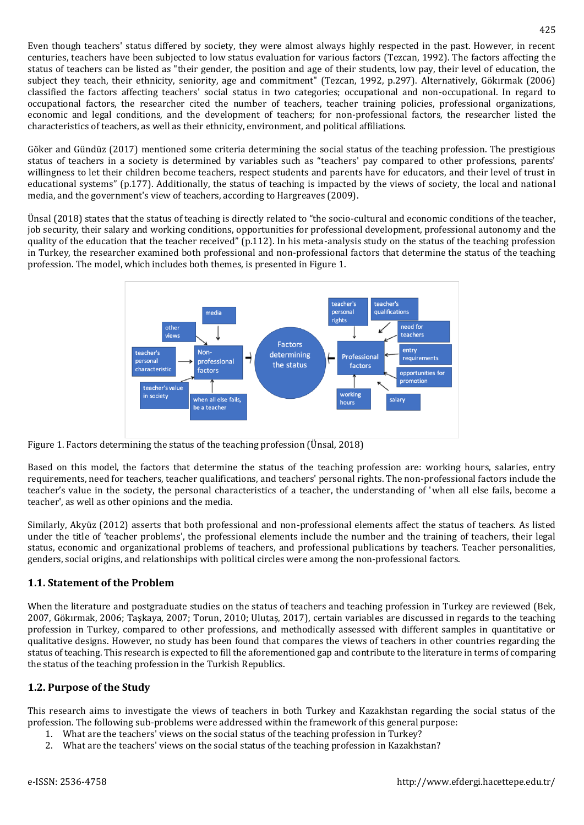Even though teachers' status differed by society, they were almost always highly respected in the past. However, in recent centuries, teachers have been subjected to low status evaluation for various factors (Tezcan, 1992). The factors affecting the status of teachers can be listed as "their gender, the position and age of their students, low pay, their level of education, the subject they teach, their ethnicity, seniority, age and commitment" (Tezcan, 1992, p.297). Alternatively, Gökırmak (2006) classified the factors affecting teachers' social status in two categories; occupational and non-occupational. In regard to occupational factors, the researcher cited the number of teachers, teacher training policies, professional organizations, economic and legal conditions, and the development of teachers; for non-professional factors, the researcher listed the characteristics of teachers, as well as their ethnicity, environment, and political affiliations.

Göker and Gündüz (2017) mentioned some criteria determining the social status of the teaching profession. The prestigious status of teachers in a society is determined by variables such as "teachers' pay compared to other professions, parents' willingness to let their children become teachers, respect students and parents have for educators, and their level of trust in educational systems" (p.177). Additionally, the status of teaching is impacted by the views of society, the local and national media, and the government's view of teachers, according to Hargreaves (2009).

Ünsal (2018) states that the status of teaching is directly related to "the socio-cultural and economic conditions of the teacher, job security, their salary and working conditions, opportunities for professional development, professional autonomy and the quality of the education that the teacher received" (p.112). In his meta-analysis study on the status of the teaching profession in Turkey, the researcher examined both professional and non-professional factors that determine the status of the teaching profession. The model, which includes both themes, is presented in Figure 1.



Figure 1. Factors determining the status of the teaching profession (Ünsal, 2018)

Based on this model, the factors that determine the status of the teaching profession are: working hours, salaries, entry requirements, need for teachers, teacher qualifications, and teachers' personal rights. The non-professional factors include the teacher's value in the society, the personal characteristics of a teacher, the understanding of 'when all else fails, become a teacher', as well as other opinions and the media.

Similarly, Akyüz (2012) asserts that both professional and non-professional elements affect the status of teachers. As listed under the title of 'teacher problems', the professional elements include the number and the training of teachers, their legal status, economic and organizational problems of teachers, and professional publications by teachers. Teacher personalities, genders, social origins, and relationships with political circles were among the non-professional factors.

## **1.1. Statement of the Problem**

When the literature and postgraduate studies on the status of teachers and teaching profession in Turkey are reviewed (Bek, 2007, Gökırmak, 2006; Taşkaya, 2007; Torun, 2010; Ulutaş, 2017), certain variables are discussed in regards to the teaching profession in Turkey, compared to other professions, and methodically assessed with different samples in quantitative or qualitative designs. However, no study has been found that compares the views of teachers in other countries regarding the status of teaching. This research is expected to fill the aforementioned gap and contribute to the literature in terms of comparing the status of the teaching profession in the Turkish Republics.

## **1.2. Purpose of the Study**

This research aims to investigate the views of teachers in both Turkey and Kazakhstan regarding the social status of the profession. The following sub-problems were addressed within the framework of this general purpose:

- 1. What are the teachers' views on the social status of the teaching profession in Turkey?
- 2. What are the teachers' views on the social status of the teaching profession in Kazakhstan?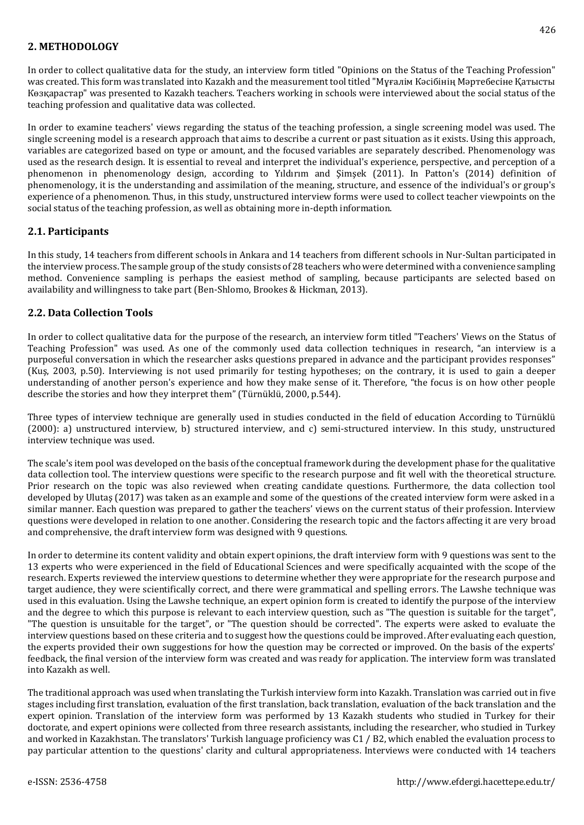## **2. METHODOLOGY**

In order to collect qualitative data for the study, an interview form titled "Opinions on the Status of the Teaching Profession" was created. This form was translated into Kazakh and the measurement tool titled "Мұғалім Кәсібінің Мәртебесіне Қатысты Көзқарастар" was presented to Kazakh teachers. Teachers working in schools were interviewed about the social status of the teaching profession and qualitative data was collected.

In order to examine teachers' views regarding the status of the teaching profession, a single screening model was used. The single screening model is a research approach that aims to describe a current or past situation as it exists. Using this approach, variables are categorized based on type or amount, and the focused variables are separately described. Phenomenology was used as the research design. It is essential to reveal and interpret the individual's experience, perspective, and perception of a phenomenon in phenomenology design, according to Yıldırım and Şimşek (2011). In Patton's (2014) definition of phenomenology, it is the understanding and assimilation of the meaning, structure, and essence of the individual's or group's experience of a phenomenon. Thus, in this study, unstructured interview forms were used to collect teacher viewpoints on the social status of the teaching profession, as well as obtaining more in-depth information.

### **2.1. Participants**

In this study, 14 teachers from different schools in Ankara and 14 teachers from different schools in Nur-Sultan participated in the interview process. The sample group of the study consists of 28 teachers who were determined with a convenience sampling method. Convenience sampling is perhaps the easiest method of sampling, because participants are selected based on availability and willingness to take part (Ben-Shlomo, Brookes & Hickman, 2013).

### **2.2. Data Collection Tools**

In order to collect qualitative data for the purpose of the research, an interview form titled "Teachers' Views on the Status of Teaching Profession" was used. As one of the commonly used data collection techniques in research, "an interview is a purposeful conversation in which the researcher asks questions prepared in advance and the participant provides responses" (Kuş, 2003, p.50). Interviewing is not used primarily for testing hypotheses; on the contrary, it is used to gain a deeper understanding of another person's experience and how they make sense of it. Therefore, "the focus is on how other people describe the stories and how they interpret them" (Türnüklü, 2000, p.544).

Three types of interview technique are generally used in studies conducted in the field of education According to Türnüklü (2000): a) unstructured interview, b) structured interview, and c) semi-structured interview. In this study, unstructured interview technique was used.

The scale's item pool was developed on the basis of the conceptual framework during the development phase for the qualitative data collection tool. The interview questions were specific to the research purpose and fit well with the theoretical structure. Prior research on the topic was also reviewed when creating candidate questions. Furthermore, the data collection tool developed by Ulutaş (2017) was taken as an example and some of the questions of the created interview form were asked in a similar manner. Each question was prepared to gather the teachers' views on the current status of their profession. Interview questions were developed in relation to one another. Considering the research topic and the factors affecting it are very broad and comprehensive, the draft interview form was designed with 9 questions.

In order to determine its content validity and obtain expert opinions, the draft interview form with 9 questions was sent to the 13 experts who were experienced in the field of Educational Sciences and were specifically acquainted with the scope of the research. Experts reviewed the interview questions to determine whether they were appropriate for the research purpose and target audience, they were scientifically correct, and there were grammatical and spelling errors. The Lawshe technique was used in this evaluation. Using the Lawshe technique, an expert opinion form is created to identify the purpose of the interview and the degree to which this purpose is relevant to each interview question, such as "The question is suitable for the target", "The question is unsuitable for the target", or "The question should be corrected". The experts were asked to evaluate the interview questions based on these criteria and to suggest how the questions could be improved. After evaluating each question, the experts provided their own suggestions for how the question may be corrected or improved. On the basis of the experts' feedback, the final version of the interview form was created and was ready for application. The interview form was translated into Kazakh as well.

The traditional approach was used when translating the Turkish interview form into Kazakh. Translation was carried out in five stages including first translation, evaluation of the first translation, back translation, evaluation of the back translation and the expert opinion. Translation of the interview form was performed by 13 Kazakh students who studied in Turkey for their doctorate, and expert opinions were collected from three research assistants, including the researcher, who studied in Turkey and worked in Kazakhstan. The translators' Turkish language proficiency was C1 / B2, which enabled the evaluation process to pay particular attention to the questions' clarity and cultural appropriateness. Interviews were conducted with 14 teachers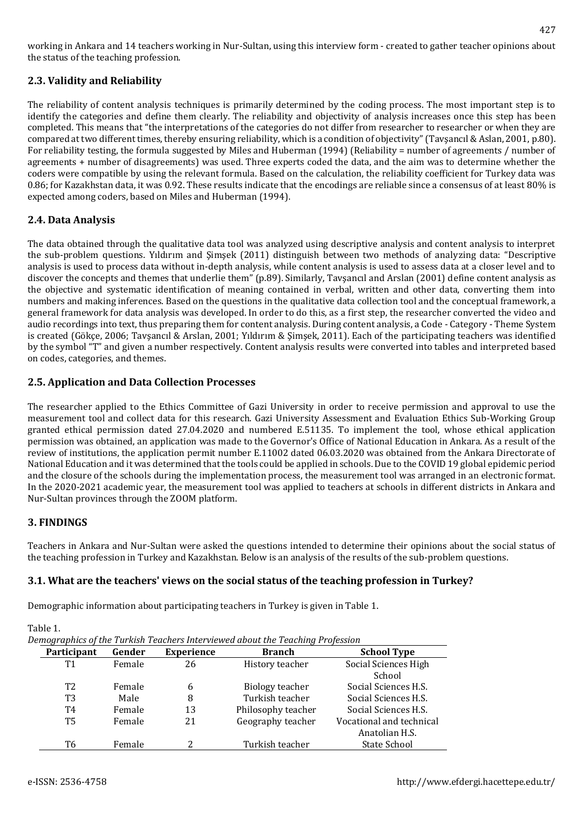working in Ankara and 14 teachers working in Nur-Sultan, using this interview form - created to gather teacher opinions about the status of the teaching profession.

## **2.3. Validity and Reliability**

The reliability of content analysis techniques is primarily determined by the coding process. The most important step is to identify the categories and define them clearly. The reliability and objectivity of analysis increases once this step has been completed. This means that "the interpretations of the categories do not differ from researcher to researcher or when they are compared at two different times, thereby ensuring reliability, which is a condition of objectivity" (Tavşancıl & Aslan, 2001, p.80). For reliability testing, the formula suggested by Miles and Huberman (1994) (Reliability = number of agreements / number of agreements + number of disagreements) was used. Three experts coded the data, and the aim was to determine whether the coders were compatible by using the relevant formula. Based on the calculation, the reliability coefficient for Turkey data was 0.86; for Kazakhstan data, it was 0.92. These results indicate that the encodings are reliable since a consensus of at least 80% is expected among coders, based on Miles and Huberman (1994).

## **2.4. Data Analysis**

The data obtained through the qualitative data tool was analyzed using descriptive analysis and content analysis to interpret the sub-problem questions. Yıldırım and Şimşek (2011) distinguish between two methods of analyzing data: "Descriptive analysis is used to process data without in-depth analysis, while content analysis is used to assess data at a closer level and to discover the concepts and themes that underlie them" (p.89). Similarly, Tavşancıl and Arslan (2001) define content analysis as the objective and systematic identification of meaning contained in verbal, written and other data, converting them into numbers and making inferences. Based on the questions in the qualitative data collection tool and the conceptual framework, a general framework for data analysis was developed. In order to do this, as a first step, the researcher converted the video and audio recordings into text, thus preparing them for content analysis. During content analysis, a Code - Category - Theme System is created (Gökçe, 2006; Tavşancıl & Arslan, 2001; Yıldırım & Şimşek, 2011). Each of the participating teachers was identified by the symbol "T" and given a number respectively. Content analysis results were converted into tables and interpreted based on codes, categories, and themes.

## **2.5. Application and Data Collection Processes**

The researcher applied to the Ethics Committee of Gazi University in order to receive permission and approval to use the measurement tool and collect data for this research. Gazi University Assessment and Evaluation Ethics Sub-Working Group granted ethical permission dated 27.04.2020 and numbered E.51135. To implement the tool, whose ethical application permission was obtained, an application was made to the Governor's Office of National Education in Ankara. As a result of the review of institutions, the application permit number E.11002 dated 06.03.2020 was obtained from the Ankara Directorate of National Education and it was determined that the tools could be applied in schools. Due to the COVID 19 global epidemic period and the closure of the schools during the implementation process, the measurement tool was arranged in an electronic format. In the 2020-2021 academic year, the measurement tool was applied to teachers at schools in different districts in Ankara and Nur-Sultan provinces through the ZOOM platform.

## **3. FINDINGS**

Teachers in Ankara and Nur-Sultan were asked the questions intended to determine their opinions about the social status of the teaching profession in Turkey and Kazakhstan. Below is an analysis of the results of the sub-problem questions.

## **3.1. What are the teachers' views on the social status of the teaching profession in Turkey?**

Demographic information about participating teachers in Turkey is given in Table 1.

Table 1.

| Demographics of the Turkish Teachers Interviewed about the Teaching Profession |  |  |  |
|--------------------------------------------------------------------------------|--|--|--|
|                                                                                |  |  |  |

| Participant | Gender | <b>Experience</b> | <b>Branch</b>      | <b>School Type</b>       |
|-------------|--------|-------------------|--------------------|--------------------------|
| T1          | Female | 26                | History teacher    | Social Sciences High     |
|             |        |                   |                    | School                   |
| T2          | Female | 6                 | Biology teacher    | Social Sciences H.S.     |
| T3          | Male   | 8                 | Turkish teacher    | Social Sciences H.S.     |
| T4          | Female | 13                | Philosophy teacher | Social Sciences H.S.     |
| Т5          | Female | 21                | Geography teacher  | Vocational and technical |
|             |        |                   |                    | Anatolian H.S.           |
| Т6          | Female |                   | Turkish teacher    | State School             |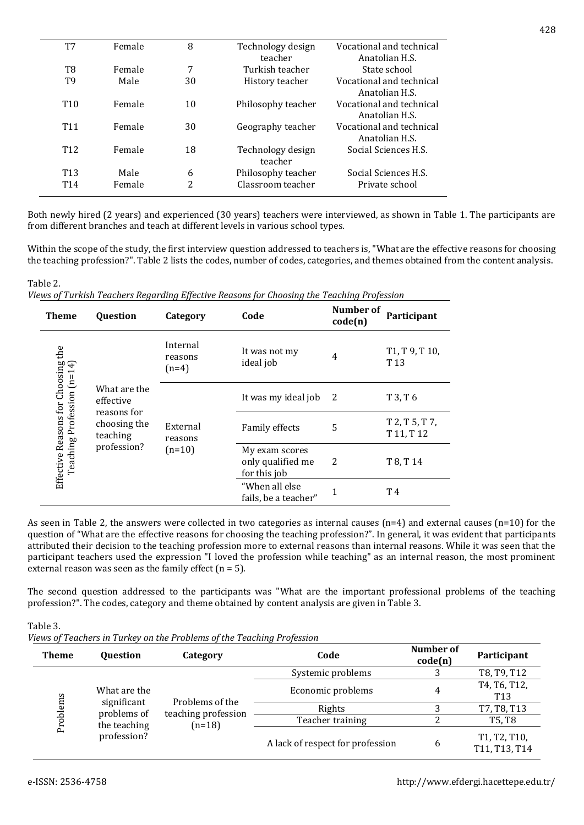| T7              | Female | 8              | Technology design  | Vocational and technical |
|-----------------|--------|----------------|--------------------|--------------------------|
|                 |        |                | teacher            | Anatolian H.S.           |
| T8              | Female | 7              | Turkish teacher    | State school             |
| T9              | Male   | 30             | History teacher    | Vocational and technical |
|                 |        |                |                    | Anatolian H.S.           |
| T <sub>10</sub> | Female | 10             | Philosophy teacher | Vocational and technical |
|                 |        |                |                    | Anatolian H.S.           |
| T <sub>11</sub> | Female | 30             | Geography teacher  | Vocational and technical |
|                 |        |                |                    | Anatolian H.S.           |
| T <sub>12</sub> | Female | 18             | Technology design  | Social Sciences H.S.     |
|                 |        |                | teacher            |                          |
| T <sub>13</sub> | Male   | 6              | Philosophy teacher | Social Sciences H.S.     |
| T <sub>14</sub> | Female | $\overline{2}$ | Classroom teacher  | Private school           |
|                 |        |                |                    |                          |

Both newly hired (2 years) and experienced (30 years) teachers were interviewed, as shown in Table 1. The participants are from different branches and teach at different levels in various school types.

Within the scope of the study, the first interview question addressed to teachers is, "What are the effective reasons for choosing the teaching profession?". Table 2 lists the codes, number of codes, categories, and themes obtained from the content analysis.

#### Table 2.

|  |  |  | Views of Turkish Teachers Regarding Effective Reasons for Choosing the Teaching Profession |
|--|--|--|--------------------------------------------------------------------------------------------|
|  |  |  |                                                                                            |
|  |  |  |                                                                                            |
|  |  |  |                                                                                            |

| <b>Theme</b>                                                     | <b>Question</b>                                                                     | Category                        | Code                                                | Number of<br>code(n) | Participant                                                            |
|------------------------------------------------------------------|-------------------------------------------------------------------------------------|---------------------------------|-----------------------------------------------------|----------------------|------------------------------------------------------------------------|
|                                                                  |                                                                                     | Internal<br>reasons<br>$(n=4)$  | It was not my<br>ideal job                          | 4                    | T <sub>1</sub> , T <sub>9</sub> , T <sub>10</sub> ,<br>T <sub>13</sub> |
|                                                                  | What are the<br>effective<br>reasons for<br>choosing the<br>teaching<br>profession? | External<br>reasons<br>$(n=10)$ | It was my ideal job                                 | 2                    | T 3, T 6                                                               |
| Effective Reasons for Choosing the<br>Teaching Profession (n=14) |                                                                                     |                                 | <b>Family effects</b>                               | 5                    | T 2, T 5, T 7,<br>T 11, T 12                                           |
|                                                                  |                                                                                     |                                 | My exam scores<br>only qualified me<br>for this job | 2                    | T 8, T 14                                                              |
|                                                                  |                                                                                     |                                 | "When all else<br>fails, be a teacher"              | 1                    | T4                                                                     |

As seen in Table 2, the answers were collected in two categories as internal causes (n=4) and external causes (n=10) for the question of "What are the effective reasons for choosing the teaching profession?". In general, it was evident that participants attributed their decision to the teaching profession more to external reasons than internal reasons. While it was seen that the participant teachers used the expression "I loved the profession while teaching" as an internal reason, the most prominent external reason was seen as the family effect  $(n = 5)$ .

The second question addressed to the participants was "What are the important professional problems of the teaching profession?". The codes, category and theme obtained by content analysis are given in Table 3.

Table 3.

*Views of Teachers in Turkey on the Problems of the Teaching Profession*

| <b>Theme</b>                            | <b>Ouestion</b>            | Category                                           | Code              |                               | Participant                     |
|-----------------------------------------|----------------------------|----------------------------------------------------|-------------------|-------------------------------|---------------------------------|
|                                         |                            |                                                    | Systemic problems |                               | T8, T9, T12                     |
|                                         | What are the               | Problems of the<br>teaching profession<br>$(n=18)$ | Economic problems | 4                             | T4, T6, T12,<br>T <sub>13</sub> |
|                                         | significant<br>problems of |                                                    | Rights            |                               | T7, T8, T13                     |
| Problems<br>the teaching<br>profession? |                            |                                                    | Teacher training  |                               | T5, T8                          |
|                                         |                            | A lack of respect for profession                   | 6                 | T1, T2, T10,<br>T11, T13, T14 |                                 |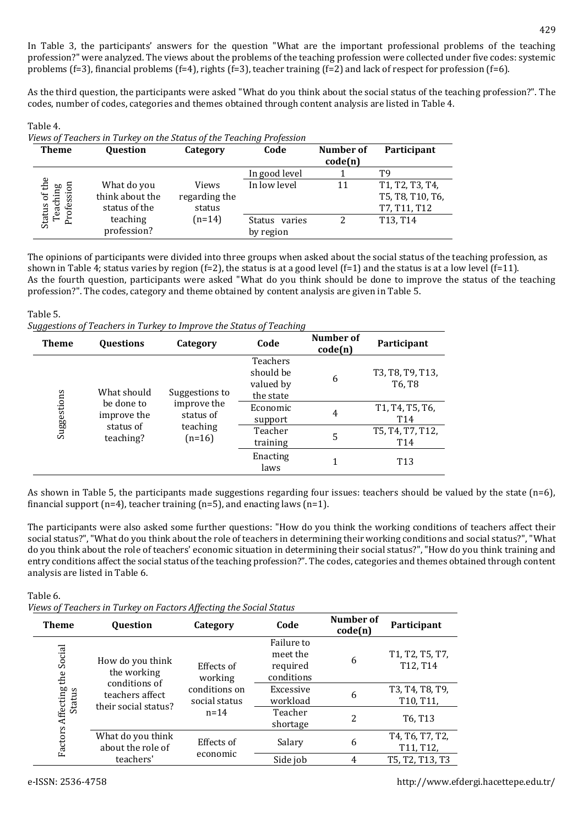In Table 3, the participants' answers for the question "What are the important professional problems of the teaching profession?" were analyzed. The views about the problems of the teaching profession were collected under five codes: systemic problems (f=3), financial problems (f=4), rights (f=3), teacher training (f=2) and lack of respect for profession (f=6).

As the third question, the participants were asked "What do you think about the social status of the teaching profession?". The codes, number of codes, categories and themes obtained through content analysis are listed in Table 4.

#### Table 4.

*Views of Teachers in Turkey on the Status of the Teaching Profession*

| <b>Theme</b>              | Question        | Category      | Code          | Number of | Participant                       |
|---------------------------|-----------------|---------------|---------------|-----------|-----------------------------------|
|                           |                 |               |               | code(n)   |                                   |
|                           |                 |               | In good level |           | T9                                |
| Status of the<br>Teaching | What do you     | <b>Views</b>  | In low level  | 11        | T1, T2, T3, T4,                   |
|                           | think about the | regarding the |               |           | T5, T8, T10, T6,                  |
| Profession                | status of the   | status        |               |           | T7, T11, T12                      |
|                           | teaching        | $(n=14)$      | Status varies | າ         | T <sub>13</sub> , T <sub>14</sub> |
|                           | profession?     |               | by region     |           |                                   |

The opinions of participants were divided into three groups when asked about the social status of the teaching profession, as shown in Table 4; status varies by region (f=2), the status is at a good level (f=1) and the status is at a low level (f=11). As the fourth question, participants were asked "What do you think should be done to improve the status of the teaching profession?". The codes, category and theme obtained by content analysis are given in Table 5.

#### Table 5.

*Suggestions of Teachers in Turkey to Improve the Status of Teaching*

| <b>Theme</b> | <b>Ouestions</b>          | Category                 | Code                                            | Number of<br>code(n) | Participant                        |
|--------------|---------------------------|--------------------------|-------------------------------------------------|----------------------|------------------------------------|
|              | What should               | Suggestions to           | Teachers<br>should be<br>valued by<br>the state | 6                    | T3, T8, T9, T13,<br>T6, T8         |
| Suggestions  | be done to<br>improve the | improve the<br>status of | Economic<br>support                             | 4                    | T1, T4, T5, T6,<br>T <sub>14</sub> |
|              | status of<br>teaching?    | teaching<br>$(n=16)$     | Teacher<br>training                             | 5                    | T5, T4, T7, T12,<br>T14            |
|              |                           |                          | Enacting<br>laws                                | 1                    | T <sub>13</sub>                    |

As shown in Table 5, the participants made suggestions regarding four issues: teachers should be valued by the state (n=6), financial support (n=4), teacher training (n=5), and enacting laws (n=1).

The participants were also asked some further questions: "How do you think the working conditions of teachers affect their social status?", "What do you think about the role of teachers in determining their working conditions and social status?", "What do you think about the role of teachers' economic situation in determining their social status?", "How do you think training and entry conditions affect the social status of the teaching profession?". The codes, categories and themes obtained through content analysis are listed in Table 6.

Table 6.

*Views of Teachers in Turkey on Factors Affecting the Social Status*

| <b>Theme</b>      | rows of Teachers in Tarkey on I accordiffeceing the Boeian Beatas<br><b>Ouestion</b> | Category                       | Code                                             | Number of<br>code(n) | Participant                                            |
|-------------------|--------------------------------------------------------------------------------------|--------------------------------|--------------------------------------------------|----------------------|--------------------------------------------------------|
| Social<br>the     | How do you think<br>the working<br>conditions of                                     | Effects of<br>working          | Failure to<br>meet the<br>required<br>conditions | 6                    | T1, T2, T5, T7,<br>T12, T14                            |
| Status            | teachers affect<br>their social status?                                              | conditions on<br>social status | Excessive<br>workload                            | 6                    | T3, T4, T8, T9,<br>T <sub>10</sub> , T <sub>11</sub> , |
|                   |                                                                                      | $n = 14$                       | Teacher<br>shortage                              | 2                    | T <sub>6</sub> , T <sub>13</sub>                       |
| Factors Affecting | What do you think<br>about the role of                                               | Effects of                     | Salary                                           | 6                    | T4, T6, T7, T2,<br>T11, T12,                           |
|                   | teachers'                                                                            | economic                       | Side job                                         | 4                    | T5, T2, T13, T3                                        |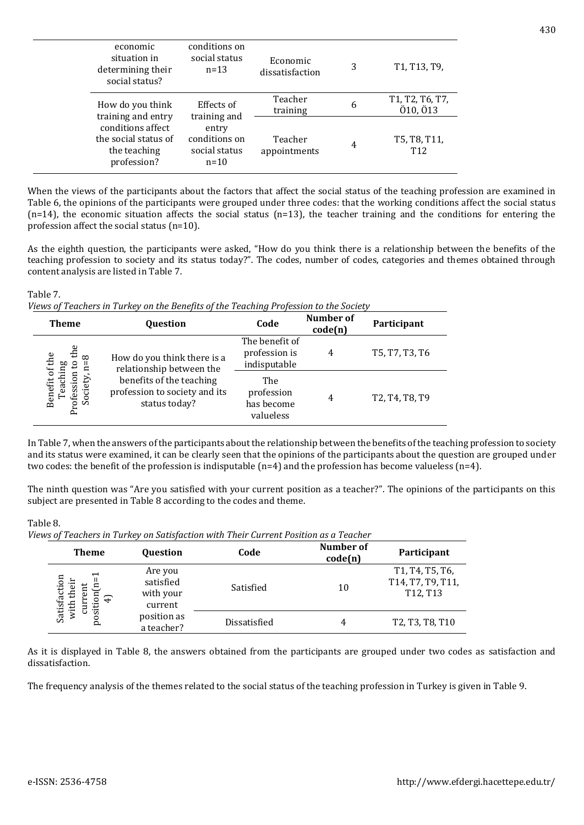| economic<br>situation in<br>determining their<br>social status?          | conditions on<br>social status<br>$n = 1.3$       | Economic<br>dissatisfaction | 3 | T1, T13, T9,                    |
|--------------------------------------------------------------------------|---------------------------------------------------|-----------------------------|---|---------------------------------|
| How do you think<br>training and entry                                   | Effects of<br>training and                        | Teacher<br>training         | 6 | T1, T2, T6, T7,<br>Ö10, Ö13     |
| conditions affect<br>the social status of<br>the teaching<br>profession? | entry<br>conditions on<br>social status<br>$n=10$ | Teacher<br>appointments     | 4 | T5, T8, T11,<br>T <sub>12</sub> |

When the views of the participants about the factors that affect the social status of the teaching profession are examined in Table 6, the opinions of the participants were grouped under three codes: that the working conditions affect the social status  $(n=14)$ , the economic situation affects the social status  $(n=13)$ , the teacher training and the conditions for entering the profession affect the social status (n=10).

As the eighth question, the participants were asked, "How do you think there is a relationship between the benefits of the teaching profession to society and its status today?". The codes, number of codes, categories and themes obtained through content analysis are listed in Table 7.

### Table 7.

|  |  |  |  |  |  | Views of Teachers in Turkey on the Benefits of the Teaching Profession to the Society |
|--|--|--|--|--|--|---------------------------------------------------------------------------------------|
|--|--|--|--|--|--|---------------------------------------------------------------------------------------|

| <b>Theme</b>                                           | Question                                                                   | Code                                            | <b>Number of</b><br>code(n) | Participant                                                       |
|--------------------------------------------------------|----------------------------------------------------------------------------|-------------------------------------------------|-----------------------------|-------------------------------------------------------------------|
| the<br>$\frac{8}{1}$<br>$\mathbf{c}$                   | How do you think there is a<br>relationship between the                    | The benefit of<br>profession is<br>indisputable | 4                           | T5, T7, T3, T6                                                    |
| Benefit of the<br>Teaching<br>Profession<br>ciety<br>Š | benefits of the teaching<br>profession to society and its<br>status today? | The<br>profession<br>has become<br>valueless    | 4                           | T <sub>2</sub> , T <sub>4</sub> , T <sub>8</sub> , T <sub>9</sub> |

In Table 7, when the answers of the participants about the relationship between the benefits of the teaching profession to society and its status were examined, it can be clearly seen that the opinions of the participants about the question are grouped under two codes: the benefit of the profession is indisputable (n=4) and the profession has become valueless (n=4).

The ninth question was "Are you satisfied with your current position as a teacher?". The opinions of the participants on this subject are presented in Table 8 according to the codes and theme.

### Table 8.

*Views of Teachers in Turkey on Satisfaction with Their Current Position as a Teacher*

| <b>Theme</b>                                                  | <b>Question</b>                              | Code         | Number of<br>code(n) | Participant                                      |
|---------------------------------------------------------------|----------------------------------------------|--------------|----------------------|--------------------------------------------------|
| ↽<br>Satisfaction<br>their<br>sition<br>$\oplus$<br>with<br>E | Are you<br>satisfied<br>with your<br>current | Satisfied    | 10                   | T1, T4, T5, T6,<br>T14, T7, T9, T11,<br>T12, T13 |
| <sub>2</sub>                                                  | position as<br>a teacher?                    | Dissatisfied | 4                    | T2, T3, T8, T10                                  |

As it is displayed in Table 8, the answers obtained from the participants are grouped under two codes as satisfaction and dissatisfaction.

The frequency analysis of the themes related to the social status of the teaching profession in Turkey is given in Table 9.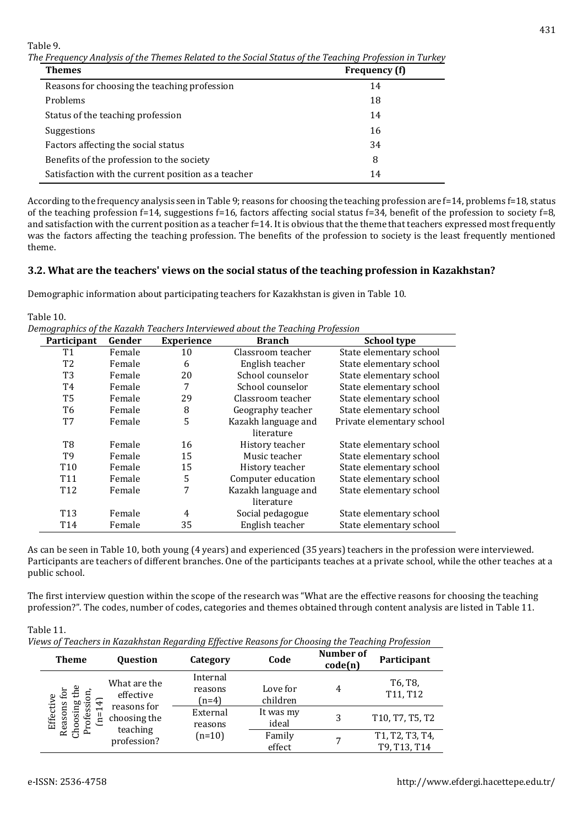Table 9.

*The Frequency Analysis of the Themes Related to the Social Status of the Teaching Profession in Turkey*

| Themes                                              | Frequency (f) |
|-----------------------------------------------------|---------------|
| Reasons for choosing the teaching profession        | 14            |
| Problems                                            | 18            |
| Status of the teaching profession                   | 14            |
| Suggestions                                         | 16            |
| Factors affecting the social status                 | 34            |
| Benefits of the profession to the society           | 8             |
| Satisfaction with the current position as a teacher | 14            |

According to the frequency analysis seen in Table 9; reasons for choosing the teaching profession are f=14, problems f=18, status of the teaching profession f=14, suggestions f=16, factors affecting social status f=34, benefit of the profession to society f=8, and satisfaction with the current position as a teacher f=14. It is obvious that the theme that teachers expressed most frequently was the factors affecting the teaching profession. The benefits of the profession to society is the least frequently mentioned theme.

### **3.2. What are the teachers' views on the social status of the teaching profession in Kazakhstan?**

Demographic information about participating teachers for Kazakhstan is given in Table 10.

Table 10.

*Demographics of the Kazakh Teachers Interviewed about the Teaching Profession*

| Participant     | Gender | <b>Experience</b> | <b>Branch</b>       | <b>School type</b>        |
|-----------------|--------|-------------------|---------------------|---------------------------|
| T1              | Female | 10                | Classroom teacher   | State elementary school   |
| T <sub>2</sub>  | Female | 6                 | English teacher     | State elementary school   |
| T <sub>3</sub>  | Female | 20                | School counselor    | State elementary school   |
| T4              | Female | 7                 | School counselor    | State elementary school   |
| T <sub>5</sub>  | Female | 29                | Classroom teacher   | State elementary school   |
| T <sub>6</sub>  | Female | 8                 | Geography teacher   | State elementary school   |
| T7              | Female | 5                 | Kazakh language and | Private elementary school |
|                 |        |                   | literature          |                           |
| T8              | Female | 16                | History teacher     | State elementary school   |
| T9              | Female | 15                | Music teacher       | State elementary school   |
| T <sub>10</sub> | Female | 15                | History teacher     | State elementary school   |
| T <sub>11</sub> | Female | 5                 | Computer education  | State elementary school   |
| T <sub>12</sub> | Female | 7                 | Kazakh language and | State elementary school   |
|                 |        |                   | literature          |                           |
| T <sub>13</sub> | Female | 4                 | Social pedagogue    | State elementary school   |
| T <sub>14</sub> | Female | 35                | English teacher     | State elementary school   |

As can be seen in Table 10, both young (4 years) and experienced (35 years) teachers in the profession were interviewed. Participants are teachers of different branches. One of the participants teaches at a private school, while the other teaches at a public school.

The first interview question within the scope of the research was "What are the effective reasons for choosing the teaching profession?". The codes, number of codes, categories and themes obtained through content analysis are listed in Table 11.

Table 11.

*Views of Teachers in Kazakhstan Regarding Effective Reasons for Choosing the Teaching Profession*

| <b>Theme</b>                                         | <b>Ouestion</b>                                        | Category                       | Code                 | Number of<br>code(n) | Participant                                   |
|------------------------------------------------------|--------------------------------------------------------|--------------------------------|----------------------|----------------------|-----------------------------------------------|
| £<br>Effective<br>osing<br>ofessi<br>easons<br>$n =$ | What are the<br>effective                              | Internal<br>reasons<br>$(n=4)$ | Love for<br>children | 4                    | T <sub>6</sub> , T <sub>8</sub> ,<br>T11, T12 |
|                                                      | reasons for<br>choosing the<br>teaching<br>profession? | External<br>reasons            | It was my<br>ideal   |                      | T10, T7, T5, T2                               |
|                                                      |                                                        | $(n=10)$                       | Family<br>effect     |                      | T1, T2, T3, T4,<br>T9, T13, T14               |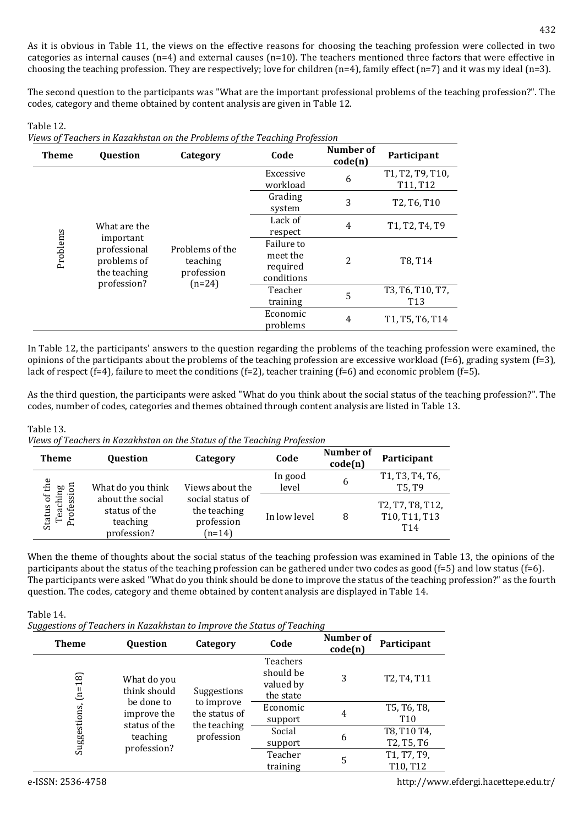As it is obvious in Table 11, the views on the effective reasons for choosing the teaching profession were collected in two categories as internal causes ( $n=4$ ) and external causes ( $n=10$ ). The teachers mentioned three factors that were effective in choosing the teaching profession. They are respectively; love for children (n=4), family effect (n=7) and it was my ideal (n=3).

The second question to the participants was "What are the important professional problems of the teaching profession?". The codes, category and theme obtained by content analysis are given in Table 12.

Table 12. *Views of Teachers in Kazakhstan on the Problems of the Teaching Profession*

| <b>Theme</b> | <b>Question</b>                                          | Category                                  | Code                                             | Number of<br>code(n) | Participant                                                                      |
|--------------|----------------------------------------------------------|-------------------------------------------|--------------------------------------------------|----------------------|----------------------------------------------------------------------------------|
|              |                                                          |                                           | Excessive<br>workload                            | 6                    | T <sub>1</sub> , T <sub>2</sub> , T <sub>9</sub> , T <sub>10</sub> ,<br>T11, T12 |
|              |                                                          |                                           | Grading<br>system                                | 3                    | T <sub>2</sub> , T <sub>6</sub> , T <sub>10</sub>                                |
| Problems     | What are the                                             |                                           | Lack of<br>respect                               | 4                    | T <sub>1</sub> , T <sub>2</sub> , T <sub>4</sub> , T <sub>9</sub>                |
|              | important<br>professional<br>problems of<br>the teaching | Problems of the<br>teaching<br>profession | Failure to<br>meet the<br>required<br>conditions | 2                    | T8, T14                                                                          |
|              | profession?                                              | $(n=24)$                                  | Teacher<br>training                              | 5                    | T3, T6, T10, T7,<br>T <sub>13</sub>                                              |
|              |                                                          |                                           | Economic<br>problems                             | 4                    | T <sub>1</sub> , T <sub>5</sub> , T <sub>6</sub> , T <sub>14</sub>               |

In Table 12, the participants' answers to the question regarding the problems of the teaching profession were examined, the opinions of the participants about the problems of the teaching profession are excessive workload (f=6), grading system (f=3), lack of respect (f=4), failure to meet the conditions (f=2), teacher training (f=6) and economic problem (f=5).

As the third question, the participants were asked "What do you think about the social status of the teaching profession?". The codes, number of codes, categories and themes obtained through content analysis are listed in Table 13.

### Table 13.

| Views of Teachers in Kazakhstan on the Status of the Teaching Profession |  |  |  |
|--------------------------------------------------------------------------|--|--|--|
|--------------------------------------------------------------------------|--|--|--|

| <b>Theme</b>                               | <b>Ouestion</b>                                              | Category                                                   | Code             | Number of<br>code(n) | Participant                              |
|--------------------------------------------|--------------------------------------------------------------|------------------------------------------------------------|------------------|----------------------|------------------------------------------|
|                                            | What do you think                                            | Views about the                                            | In good<br>level | 6                    | T1, T3, T4, T6,<br>T5, T9                |
| Status of the<br>Teaching<br>ofession<br>ᅕ | about the social<br>status of the<br>teaching<br>profession? | social status of<br>the teaching<br>profession<br>$(n=14)$ | In low level     | 8                    | T2, T7, T8, T12,<br>T10, T11, T13<br>T14 |

When the theme of thoughts about the social status of the teaching profession was examined in Table 13, the opinions of the participants about the status of the teaching profession can be gathered under two codes as good (f=5) and low status (f=6). The participants were asked "What do you think should be done to improve the status of the teaching profession?" as the fourth question. The codes, category and theme obtained by content analysis are displayed in Table 14.

| Table 14.                                                               |  |
|-------------------------------------------------------------------------|--|
| Suggestions of Teachers in Kazakhstan to Improve the Status of Teaching |  |

| <b>Theme</b> | Question                    | Category                    | Code                                               | Number of<br>code(n)    | Participant                    |
|--------------|-----------------------------|-----------------------------|----------------------------------------------------|-------------------------|--------------------------------|
| $(n=18)$     | What do you<br>think should | Suggestions                 | Teachers<br>should be<br>valued by<br>the state    | 3                       | T2, T4, T11                    |
|              | be done to<br>improve the   | to improve<br>the status of | Economic<br>support                                | 4                       | T5, T6, T8,<br>T <sub>10</sub> |
| Suggestions, | status of the<br>teaching   | the teaching<br>profession  | Social<br>6<br>support<br>Teacher<br>5<br>training |                         | T8, T10 T4,<br>T2, T5, T6      |
|              | profession?                 |                             |                                                    | T1, T7, T9,<br>T10, T12 |                                |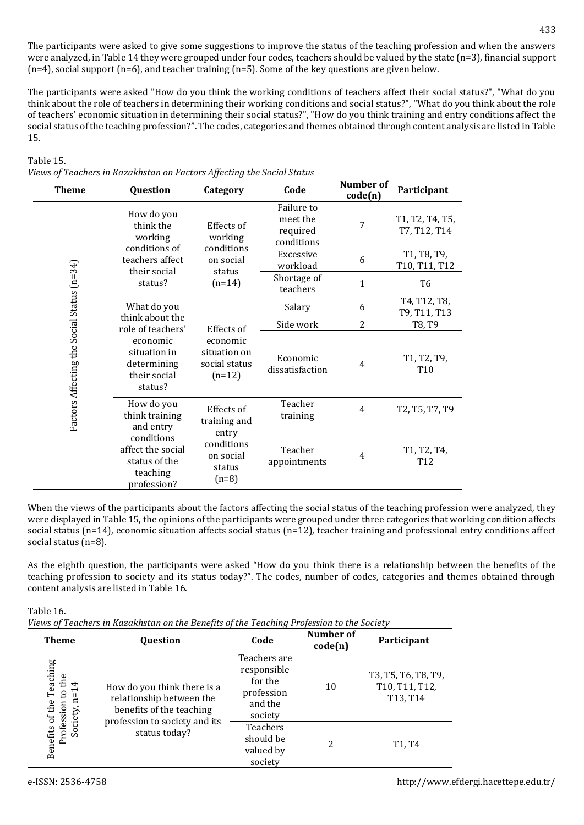The participants were asked to give some suggestions to improve the status of the teaching profession and when the answers were analyzed, in Table 14 they were grouped under four codes, teachers should be valued by the state (n=3), financial support  $(n=4)$ , social support  $(n=6)$ , and teacher training  $(n=5)$ . Some of the key questions are given below.

The participants were asked "How do you think the working conditions of teachers affect their social status?", "What do you think about the role of teachers in determining their working conditions and social status?", "What do you think about the role of teachers' economic situation in determining their social status?", "How do you think training and entry conditions affect the social status of the teaching profession?". The codes, categories and themes obtained through content analysis are listed in Table 15.

### Table 15.

|  | Views of Teachers in Kazakhstan on Factors Affecting the Social Status |  |  |
|--|------------------------------------------------------------------------|--|--|
|  |                                                                        |  |  |

| <b>Theme</b>                               | Question                                                                                                                                                          | Category                                                            | Code                                             | Number of<br>code(n) | Participant                     |
|--------------------------------------------|-------------------------------------------------------------------------------------------------------------------------------------------------------------------|---------------------------------------------------------------------|--------------------------------------------------|----------------------|---------------------------------|
| Factors Affecting the Social Status (n=34) | How do you<br>think the<br>working<br>conditions of                                                                                                               | Effects of<br>working                                               | Failure to<br>meet the<br>required<br>conditions | 7                    | T1, T2, T4, T5,<br>T7, T12, T14 |
|                                            | teachers affect<br>their social                                                                                                                                   | conditions<br>on social                                             | Excessive<br>workload                            | 6                    | T1, T8, T9,<br>T10, T11, T12    |
|                                            | status?                                                                                                                                                           | status<br>$(n=14)$                                                  | Shortage of<br>teachers                          | $\mathbf{1}$         | T6                              |
|                                            | What do you<br>think about the                                                                                                                                    |                                                                     | Salary                                           | 6                    | T4, T12, T8,<br>T9, T11, T13    |
|                                            | role of teachers'<br>economic<br>situation in<br>determining<br>their social<br>status?                                                                           | Effects of<br>economic<br>situation on<br>social status<br>$(n=12)$ | Side work                                        | $\overline{2}$       | T8, T9                          |
|                                            |                                                                                                                                                                   |                                                                     | Economic<br>dissatisfaction                      | $\overline{4}$       | T1, T2, T9,<br>T <sub>10</sub>  |
|                                            | How do you<br>think training                                                                                                                                      | Effects of                                                          | Teacher<br>training                              | $\overline{4}$       | T2, T5, T7, T9                  |
|                                            | training and<br>and entry<br>entry<br>conditions<br>conditions<br>affect the social<br>on social<br>status of the<br>status<br>teaching<br>$(n=8)$<br>profession? |                                                                     | Teacher<br>appointments                          | $\overline{4}$       | T1, T2, T4,<br>T <sub>12</sub>  |

When the views of the participants about the factors affecting the social status of the teaching profession were analyzed, they were displayed in Table 15, the opinions of the participants were grouped under three categories that working condition affects social status (n=14), economic situation affects social status (n=12), teacher training and professional entry conditions affect social status (n=8).

As the eighth question, the participants were asked "How do you think there is a relationship between the benefits of the teaching profession to society and its status today?". The codes, number of codes, categories and themes obtained through content analysis are listed in Table 16.

Table 16.

|  | Views of Teachers in Kazakhstan on the Benefits of the Teaching Profession to the Society |  |  |  |  |
|--|-------------------------------------------------------------------------------------------|--|--|--|--|
|  |                                                                                           |  |  |  |  |

| <b>Theme</b>                                                   | Question                                                                                                                              | Code                                                                       | Number of<br>code(n) | Participant                                                                |
|----------------------------------------------------------------|---------------------------------------------------------------------------------------------------------------------------------------|----------------------------------------------------------------------------|----------------------|----------------------------------------------------------------------------|
| of the Teaching<br>the<br>4<br>$\mathfrak{S}$<br>Ξ<br>Society, | How do you think there is a<br>relationship between the<br>benefits of the teaching<br>profession to society and its<br>status today? | Teachers are<br>responsible<br>for the<br>profession<br>and the<br>society | 10                   | T3, T5, T6, T8, T9,<br>T10, T11, T12,<br>T <sub>13</sub> , T <sub>14</sub> |
| Profession<br><b>Benefits</b>                                  |                                                                                                                                       | <b>Teachers</b><br>should be<br>valued by<br>society                       | 2                    | T1, T4                                                                     |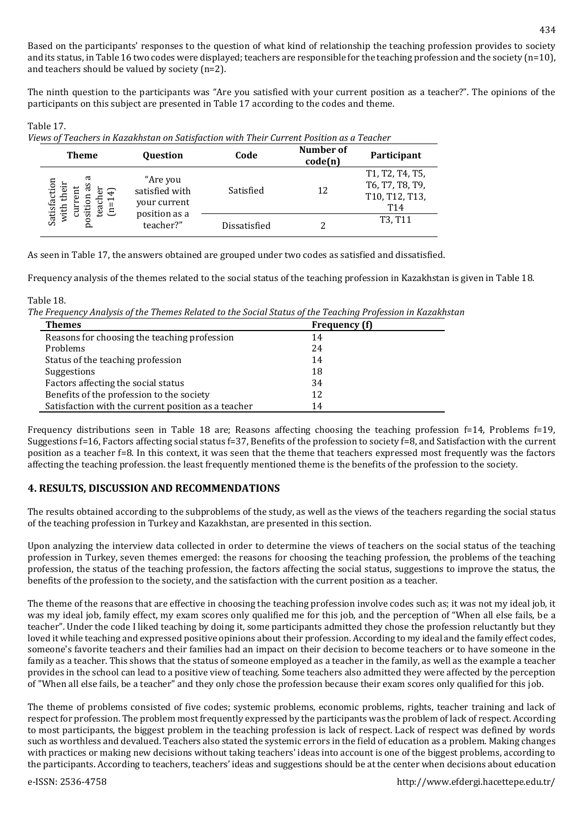Based on the participants' responses to the question of what kind of relationship the teaching profession provides to society and its status, in Table 16 two codes were displayed; teachers are responsible for the teaching profession and the society  $(n=10)$ , and teachers should be valued by society (n=2).

The ninth question to the participants was "Are you satisfied with your current position as a teacher?". The opinions of the participants on this subject are presented in Table 17 according to the codes and theme.

Table 17. *Views of Teachers in Kazakhstan on Satisfaction with Their Current Position as a Teacher*

| <b>Theme</b>                                                            | <b>Ouestion</b>                                                          | Code         | Number of<br>code(n) | Participant                                                 |
|-------------------------------------------------------------------------|--------------------------------------------------------------------------|--------------|----------------------|-------------------------------------------------------------|
| ದ<br>Satisfaction<br>٠ā<br>n<br>ᡊ<br>$\div$<br>$\bar{a}$<br>vith<br>tea | "Are you<br>satisfied with<br>your current<br>position as a<br>teacher?" | Satisfied    | 12                   | T1, T2, T4, T5,<br>T6, T7, T8, T9,<br>T10, T12, T13,<br>T14 |
| .<br>ज<br>c<br>Ā                                                        |                                                                          | Dissatisfied |                      | T <sub>3</sub> , T <sub>11</sub>                            |

As seen in Table 17, the answers obtained are grouped under two codes as satisfied and dissatisfied.

Frequency analysis of the themes related to the social status of the teaching profession in Kazakhstan is given in Table 18.

Table 18.

*The Frequency Analysis of the Themes Related to the Social Status of the Teaching Profession in Kazakhstan* 

| <b>Themes</b>                                       | <b>Frequency</b> (f) |  |
|-----------------------------------------------------|----------------------|--|
| Reasons for choosing the teaching profession        | 14                   |  |
| Problems                                            | 24                   |  |
| Status of the teaching profession                   | 14                   |  |
| Suggestions                                         | 18                   |  |
| Factors affecting the social status                 | 34                   |  |
| Benefits of the profession to the society           | 12                   |  |
| Satisfaction with the current position as a teacher | 14                   |  |

Frequency distributions seen in Table 18 are; Reasons affecting choosing the teaching profession f=14, Problems f=19, Suggestions f=16, Factors affecting social status f=37, Benefits of the profession to society f=8, and Satisfaction with the current position as a teacher f=8. In this context, it was seen that the theme that teachers expressed most frequently was the factors affecting the teaching profession. the least frequently mentioned theme is the benefits of the profession to the society.

## **4. RESULTS, DISCUSSION AND RECOMMENDATIONS**

The results obtained according to the subproblems of the study, as well as the views of the teachers regarding the social status of the teaching profession in Turkey and Kazakhstan, are presented in this section.

Upon analyzing the interview data collected in order to determine the views of teachers on the social status of the teaching profession in Turkey, seven themes emerged: the reasons for choosing the teaching profession, the problems of the teaching profession, the status of the teaching profession, the factors affecting the social status, suggestions to improve the status, the benefits of the profession to the society, and the satisfaction with the current position as a teacher.

The theme of the reasons that are effective in choosing the teaching profession involve codes such as; it was not my ideal job, it was my ideal job, family effect, my exam scores only qualified me for this job, and the perception of "When all else fails, be a teacher". Under the code I liked teaching by doing it, some participants admitted they chose the profession reluctantly but they loved it while teaching and expressed positive opinions about their profession. According to my ideal and the family effect codes, someone's favorite teachers and their families had an impact on their decision to become teachers or to have someone in the family as a teacher. This shows that the status of someone employed as a teacher in the family, as well as the example a teacher provides in the school can lead to a positive view of teaching. Some teachers also admitted they were affected by the perception of "When all else fails, be a teacher" and they only chose the profession because their exam scores only qualified for this job.

The theme of problems consisted of five codes; systemic problems, economic problems, rights, teacher training and lack of respect for profession. The problem most frequently expressed by the participants was the problem of lack of respect. According to most participants, the biggest problem in the teaching profession is lack of respect. Lack of respect was defined by words such as worthless and devalued. Teachers also stated the systemic errors in the field of education as a problem. Making changes with practices or making new decisions without taking teachers' ideas into account is one of the biggest problems, according to the participants. According to teachers, teachers' ideas and suggestions should be at the center when decisions about education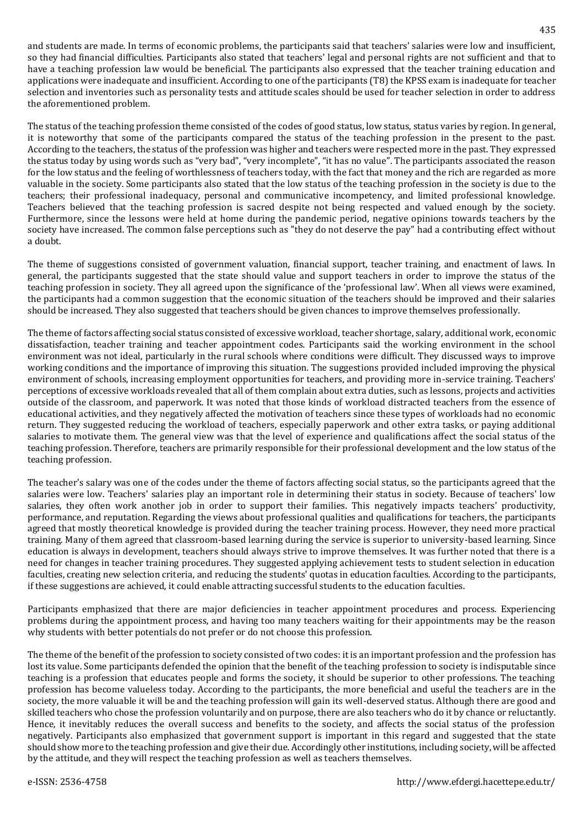and students are made. In terms of economic problems, the participants said that teachers' salaries were low and insufficient, so they had financial difficulties. Participants also stated that teachers' legal and personal rights are not sufficient and that to have a teaching profession law would be beneficial. The participants also expressed that the teacher training education and applications were inadequate and insufficient. According to one of the participants (T8) the KPSS exam is inadequate for teacher selection and inventories such as personality tests and attitude scales should be used for teacher selection in order to address the aforementioned problem.

The status of the teaching profession theme consisted of the codes of good status, low status, status varies by region. In general, it is noteworthy that some of the participants compared the status of the teaching profession in the present to the past. According to the teachers, the status of the profession was higher and teachers were respected more in the past. They expressed the status today by using words such as "very bad", "very incomplete", "it has no value". The participants associated the reason for the low status and the feeling of worthlessness of teachers today, with the fact that money and the rich are regarded as more valuable in the society. Some participants also stated that the low status of the teaching profession in the society is due to the teachers; their professional inadequacy, personal and communicative incompetency, and limited professional knowledge. Teachers believed that the teaching profession is sacred despite not being respected and valued enough by the society. Furthermore, since the lessons were held at home during the pandemic period, negative opinions towards teachers by the society have increased. The common false perceptions such as "they do not deserve the pay" had a contributing effect without a doubt.

The theme of suggestions consisted of government valuation, financial support, teacher training, and enactment of laws. In general, the participants suggested that the state should value and support teachers in order to improve the status of the teaching profession in society. They all agreed upon the significance of the 'professional law'. When all views were examined, the participants had a common suggestion that the economic situation of the teachers should be improved and their salaries should be increased. They also suggested that teachers should be given chances to improve themselves professionally.

The theme of factors affecting social status consisted of excessive workload, teacher shortage, salary, additional work, economic dissatisfaction, teacher training and teacher appointment codes. Participants said the working environment in the school environment was not ideal, particularly in the rural schools where conditions were difficult. They discussed ways to improve working conditions and the importance of improving this situation. The suggestions provided included improving the physical environment of schools, increasing employment opportunities for teachers, and providing more in-service training. Teachers' perceptions of excessive workloads revealed that all of them complain about extra duties, such as lessons, projects and activities outside of the classroom, and paperwork. It was noted that those kinds of workload distracted teachers from the essence of educational activities, and they negatively affected the motivation of teachers since these types of workloads had no economic return. They suggested reducing the workload of teachers, especially paperwork and other extra tasks, or paying additional salaries to motivate them. The general view was that the level of experience and qualifications affect the social status of the teaching profession. Therefore, teachers are primarily responsible for their professional development and the low status of the teaching profession.

The teacher's salary was one of the codes under the theme of factors affecting social status, so the participants agreed that the salaries were low. Teachers' salaries play an important role in determining their status in society. Because of teachers' low salaries, they often work another job in order to support their families. This negatively impacts teachers' productivity, performance, and reputation. Regarding the views about professional qualities and qualifications for teachers, the participants agreed that mostly theoretical knowledge is provided during the teacher training process. However, they need more practical training. Many of them agreed that classroom-based learning during the service is superior to university-based learning. Since education is always in development, teachers should always strive to improve themselves. It was further noted that there is a need for changes in teacher training procedures. They suggested applying achievement tests to student selection in education faculties, creating new selection criteria, and reducing the students' quotas in education faculties. According to the participants, if these suggestions are achieved, it could enable attracting successful students to the education faculties.

Participants emphasized that there are major deficiencies in teacher appointment procedures and process. Experiencing problems during the appointment process, and having too many teachers waiting for their appointments may be the reason why students with better potentials do not prefer or do not choose this profession.

The theme of the benefit of the profession to society consisted of two codes: it is an important profession and the profession has lost its value. Some participants defended the opinion that the benefit of the teaching profession to society is indisputable since teaching is a profession that educates people and forms the society, it should be superior to other professions. The teaching profession has become valueless today. According to the participants, the more beneficial and useful the teachers are in the society, the more valuable it will be and the teaching profession will gain its well-deserved status. Although there are good and skilled teachers who chose the profession voluntarily and on purpose, there are also teachers who do it by chance or reluctantly. Hence, it inevitably reduces the overall success and benefits to the society, and affects the social status of the profession negatively. Participants also emphasized that government support is important in this regard and suggested that the state should show more to the teaching profession and give their due. Accordingly other institutions, including society, will be affected by the attitude, and they will respect the teaching profession as well as teachers themselves.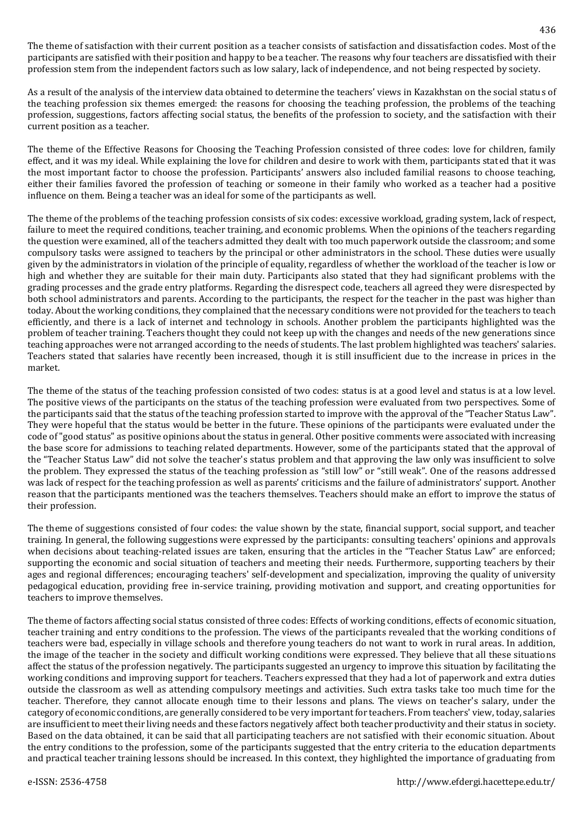The theme of satisfaction with their current position as a teacher consists of satisfaction and dissatisfaction codes. Most of the participants are satisfied with their position and happy to be a teacher. The reasons why four teachers are dissatisfied with their profession stem from the independent factors such as low salary, lack of independence, and not being respected by society.

As a result of the analysis of the interview data obtained to determine the teachers' views in Kazakhstan on the social status of the teaching profession six themes emerged: the reasons for choosing the teaching profession, the problems of the teaching profession, suggestions, factors affecting social status, the benefits of the profession to society, and the satisfaction with their current position as a teacher.

The theme of the Effective Reasons for Choosing the Teaching Profession consisted of three codes: love for children, family effect, and it was my ideal. While explaining the love for children and desire to work with them, participants stated that it was the most important factor to choose the profession. Participants' answers also included familial reasons to choose teaching, either their families favored the profession of teaching or someone in their family who worked as a teacher had a positive influence on them. Being a teacher was an ideal for some of the participants as well.

The theme of the problems of the teaching profession consists of six codes: excessive workload, grading system, lack of respect, failure to meet the required conditions, teacher training, and economic problems. When the opinions of the teachers regarding the question were examined, all of the teachers admitted they dealt with too much paperwork outside the classroom; and some compulsory tasks were assigned to teachers by the principal or other administrators in the school. These duties were usually given by the administrators in violation of the principle of equality, regardless of whether the workload of the teacher is low or high and whether they are suitable for their main duty. Participants also stated that they had significant problems with the grading processes and the grade entry platforms. Regarding the disrespect code, teachers all agreed they were disrespected by both school administrators and parents. According to the participants, the respect for the teacher in the past was higher than today. About the working conditions, they complained that the necessary conditions were not provided for the teachers to teach efficiently, and there is a lack of internet and technology in schools. Another problem the participants highlighted was the problem of teacher training. Teachers thought they could not keep up with the changes and needs of the new generations since teaching approaches were not arranged according to the needs of students. The last problem highlighted was teachers' salaries. Teachers stated that salaries have recently been increased, though it is still insufficient due to the increase in prices in the market.

The theme of the status of the teaching profession consisted of two codes: status is at a good level and status is at a low level. The positive views of the participants on the status of the teaching profession were evaluated from two perspectives. Some of the participants said that the status of the teaching profession started to improve with the approval of the "Teacher Status Law". They were hopeful that the status would be better in the future. These opinions of the participants were evaluated under the code of "good status" as positive opinions about the status in general. Other positive comments were associated with increasing the base score for admissions to teaching related departments. However, some of the participants stated that the approval of the "Teacher Status Law" did not solve the teacher's status problem and that approving the law only was insufficient to solve the problem. They expressed the status of the teaching profession as "still low" or "still weak". One of the reasons addressed was lack of respect for the teaching profession as well as parents' criticisms and the failure of administrators' support. Another reason that the participants mentioned was the teachers themselves. Teachers should make an effort to improve the status of their profession.

The theme of suggestions consisted of four codes: the value shown by the state, financial support, social support, and teacher training. In general, the following suggestions were expressed by the participants: consulting teachers' opinions and approvals when decisions about teaching-related issues are taken, ensuring that the articles in the "Teacher Status Law" are enforced; supporting the economic and social situation of teachers and meeting their needs. Furthermore, supporting teachers by their ages and regional differences; encouraging teachers' self-development and specialization, improving the quality of university pedagogical education, providing free in-service training, providing motivation and support, and creating opportunities for teachers to improve themselves.

The theme of factors affecting social status consisted of three codes: Effects of working conditions, effects of economic situation, teacher training and entry conditions to the profession. The views of the participants revealed that the working conditions of teachers were bad, especially in village schools and therefore young teachers do not want to work in rural areas. In addition, the image of the teacher in the society and difficult working conditions were expressed. They believe that all these situations affect the status of the profession negatively. The participants suggested an urgency to improve this situation by facilitating the working conditions and improving support for teachers. Teachers expressed that they had a lot of paperwork and extra duties outside the classroom as well as attending compulsory meetings and activities. Such extra tasks take too much time for the teacher. Therefore, they cannot allocate enough time to their lessons and plans. The views on teacher's salary, under the category of economic conditions, are generally considered to be very important for teachers. From teachers' view, today, salaries are insufficient to meet their living needs and these factors negatively affect both teacher productivity and their status in society. Based on the data obtained, it can be said that all participating teachers are not satisfied with their economic situation. About the entry conditions to the profession, some of the participants suggested that the entry criteria to the education departments and practical teacher training lessons should be increased. In this context, they highlighted the importance of graduating from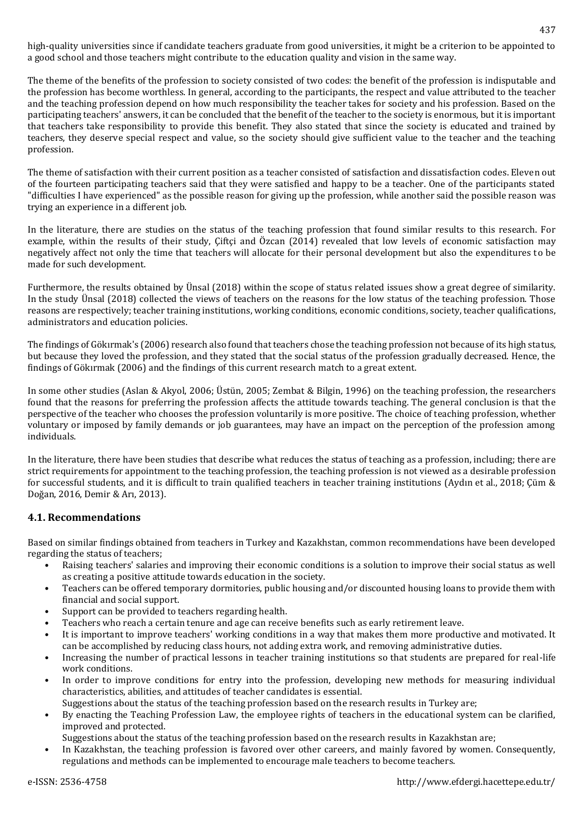high-quality universities since if candidate teachers graduate from good universities, it might be a criterion to be appointed to a good school and those teachers might contribute to the education quality and vision in the same way.

The theme of the benefits of the profession to society consisted of two codes: the benefit of the profession is indisputable and the profession has become worthless. In general, according to the participants, the respect and value attributed to the teacher and the teaching profession depend on how much responsibility the teacher takes for society and his profession. Based on the participating teachers' answers, it can be concluded that the benefit of the teacher to the society is enormous, but it is important that teachers take responsibility to provide this benefit. They also stated that since the society is educated and trained by teachers, they deserve special respect and value, so the society should give sufficient value to the teacher and the teaching profession.

The theme of satisfaction with their current position as a teacher consisted of satisfaction and dissatisfaction codes. Eleven out of the fourteen participating teachers said that they were satisfied and happy to be a teacher. One of the participants stated "difficulties I have experienced" as the possible reason for giving up the profession, while another said the possible reason was trying an experience in a different job.

In the literature, there are studies on the status of the teaching profession that found similar results to this research. For example, within the results of their study, Çiftçi and Özcan (2014) revealed that low levels of economic satisfaction may negatively affect not only the time that teachers will allocate for their personal development but also the expenditures to be made for such development.

Furthermore, the results obtained by Ünsal (2018) within the scope of status related issues show a great degree of similarity. In the study Ünsal (2018) collected the views of teachers on the reasons for the low status of the teaching profession. Those reasons are respectively; teacher training institutions, working conditions, economic conditions, society, teacher qualifications, administrators and education policies.

The findings of Gökırmak's (2006) research also found that teachers chose the teaching profession not because of its high status, but because they loved the profession, and they stated that the social status of the profession gradually decreased. Hence, the findings of Gökırmak (2006) and the findings of this current research match to a great extent.

In some other studies (Aslan & Akyol, 2006; Üstün, 2005; Zembat & Bilgin, 1996) on the teaching profession, the researchers found that the reasons for preferring the profession affects the attitude towards teaching. The general conclusion is that the perspective of the teacher who chooses the profession voluntarily is more positive. The choice of teaching profession, whether voluntary or imposed by family demands or job guarantees, may have an impact on the perception of the profession among individuals.

In the literature, there have been studies that describe what reduces the status of teaching as a profession, including; there are strict requirements for appointment to the teaching profession, the teaching profession is not viewed as a desirable profession for successful students, and it is difficult to train qualified teachers in teacher training institutions (Aydın et al., 2018; Çüm & Doğan, 2016, Demir & Arı, 2013).

## **4.1. Recommendations**

Based on similar findings obtained from teachers in Turkey and Kazakhstan, common recommendations have been developed regarding the status of teachers;

- Raising teachers' salaries and improving their economic conditions is a solution to improve their social status as well as creating a positive attitude towards education in the society.
- Teachers can be offered temporary dormitories, public housing and/or discounted housing loans to provide them with financial and social support.
- Support can be provided to teachers regarding health.
- Teachers who reach a certain tenure and age can receive benefits such as early retirement leave.
- It is important to improve teachers' working conditions in a way that makes them more productive and motivated. It can be accomplished by reducing class hours, not adding extra work, and removing administrative duties.
- Increasing the number of practical lessons in teacher training institutions so that students are prepared for real-life work conditions.
- In order to improve conditions for entry into the profession, developing new methods for measuring individual characteristics, abilities, and attitudes of teacher candidates is essential.
	- Suggestions about the status of the teaching profession based on the research results in Turkey are;
- By enacting the Teaching Profession Law, the employee rights of teachers in the educational system can be clarified, improved and protected.
- Suggestions about the status of the teaching profession based on the research results in Kazakhstan are;
- In Kazakhstan, the teaching profession is favored over other careers, and mainly favored by women. Consequently, regulations and methods can be implemented to encourage male teachers to become teachers.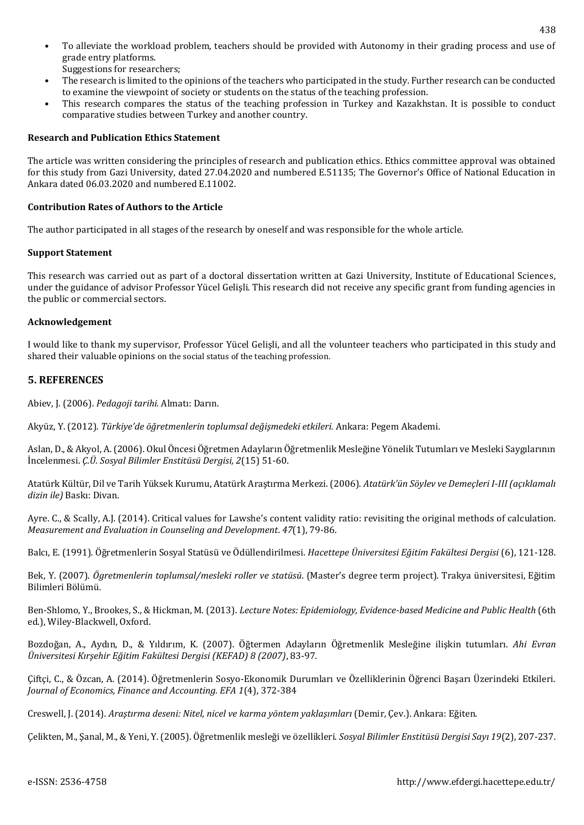- To alleviate the workload problem, teachers should be provided with Autonomy in their grading process and use of grade entry platforms. Suggestions for researchers;
- The research is limited to the opinions of the teachers who participated in the study. Further research can be conducted to examine the viewpoint of society or students on the status of the teaching profession.
- This research compares the status of the teaching profession in Turkey and Kazakhstan. It is possible to conduct comparative studies between Turkey and another country.

#### **Research and Publication Ethics Statement**

The article was written considering the principles of research and publication ethics. Ethics committee approval was obtained for this study from Gazi University, dated 27.04.2020 and numbered E.51135; The Governor's Office of National Education in Ankara dated 06.03.2020 and numbered E.11002.

#### **Contribution Rates of Authors to the Article**

The author participated in all stages of the research by oneself and was responsible for the whole article.

#### **Support Statement**

This research was carried out as part of a doctoral dissertation written at Gazi University, Institute of Educational Sciences, under the guidance of advisor Professor Yücel Gelişli. This research did not receive any specific grant from funding agencies in the public or commercial sectors.

#### **Acknowledgement**

I would like to thank my supervisor, Professor Yücel Gelişli, and all the volunteer teachers who participated in this study and shared their valuable opinions on the social status of the teaching profession.

### **5. REFERENCES**

Abiev, J. (2006). *Pedagoji tarihi.* Almatı: Darın.

Akyüz, Y. (2012). *Türkiye'de öğretmenlerin toplumsal değişmedeki etkileri.* Ankara: Pegem Akademi.

Aslan, D., & Akyol, A. (2006). Okul Öncesi Öğretmen Adayların Öğretmenlik Mesleğine Yönelik Tutumları ve Mesleki Saygılarının İncelenmesi. *Ç.Ü. Sosyal Bilimler Enstitüsü Dergisi, 2*(15) 51-60.

Atatürk Kültür, Dil ve Tarih Yüksek Kurumu, Atatürk Araştırma Merkezi. (2006). *Atatürk'ün Söylev ve Demeçleri I-III (açıklamalı dizin ile)* Baskı: Divan.

Ayre. C., & Scally, A.J. (2014). Critical values for Lawshe's content validity ratio: revisiting the original methods of calculation. *Measurement and Evaluation in Counseling and Development*. *47*(1), 79-86.

Balcı, E. (1991). Öğretmenlerin Sosyal Statüsü ve Ödüllendirilmesi. *Hacettepe Üniversitesi Eğitim Fakültesi Dergisi* (6), 121-128.

Bek, Y. (2007). *Ögretmenlerin toplumsal/mesleki roller ve statüsü*. (Master's degree term project). Trakya üniversitesi, Eğitim Bilimleri Bölümü.

Ben-Shlomo, Y., Brookes, S., & Hickman, M. (2013). *Lecture Notes: Epidemiology, Evidence-based Medicine and Public Health* (6th ed.), Wiley-Blackwell, Oxford.

Bozdoğan, A., Aydın, D., & Yıldırım, K. (2007). Öğtermen Adayların Öğretmenlik Mesleğine ilişkin tutumları. *Ahi Evran Üniversitesi Kırşehir Eğitim Fakültesi Dergisi (KEFAD) 8 (2007)*, 83-97.

Çiftçi, C., & Özcan, A. (2014). Öğretmenlerin Sosyo-Ekonomik Durumları ve Özelliklerinin Öğrenci Başarı Üzerindeki Etkileri. *Journal of Economics, Finance and Accounting. EFA 1*(4), 372-384

Creswell, J. (2014). *Araştırma deseni: Nitel, nicel ve karma yöntem yaklaşımları* (Demir, Çev.). Ankara: Eğiten.

Çelikten, M., Şanal, M., & Yeni, Y. (2005). Öğretmenlik mesleği ve özellikleri. *Sosyal Bilimler Enstitüsü Dergisi Sayı 19*(2), 207-237.